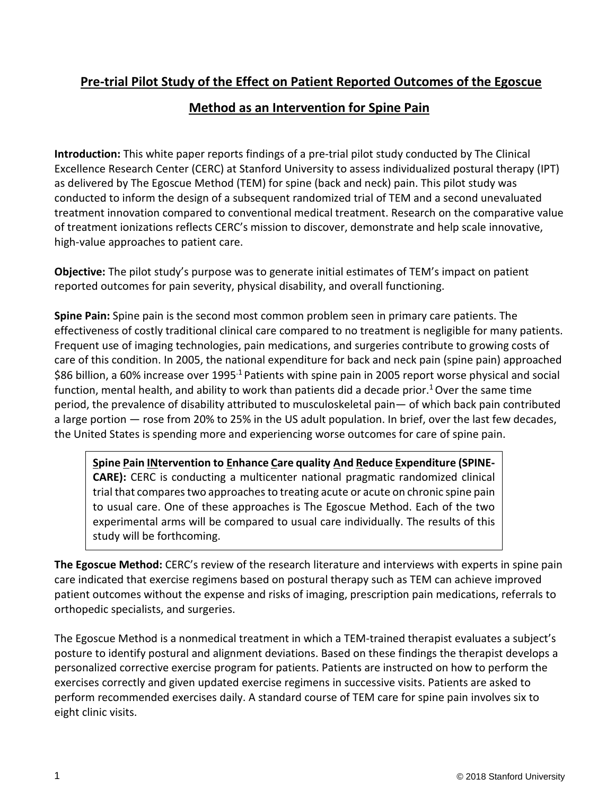# **Pre-trial Pilot Study of the Effect on Patient Reported Outcomes of the Egoscue**

## **Method as an Intervention for Spine Pain**

**Introduction:** This white paper reports findings of a pre-trial pilot study conducted by The Clinical Excellence Research Center (CERC) at Stanford University to assess individualized postural therapy (IPT) as delivered by The Egoscue Method (TEM) for spine (back and neck) pain. This pilot study was conducted to inform the design of a subsequent randomized trial of TEM and a second unevaluated treatment innovation compared to conventional medical treatment. Research on the comparative value of treatment ionizations reflects CERC's mission to discover, demonstrate and help scale innovative, high-value approaches to patient care.

**Objective:** The pilot study's purpose was to generate initial estimates of TEM's impact on patient reported outcomes for pain severity, physical disability, and overall functioning.

**Spine Pain:** Spine pain is the second most common problem seen in primary care patients. The effectiveness of costly traditional clinical care compared to no treatment is negligible for many patients. Frequent use of imaging technologies, pain medications, and surgeries contribute to growing costs of care of this condition. In 2005, the national expenditure for back and neck pain (spine pain) approached \$86 billion, a 60% increase over 1995<sup>1</sup> Patients with spine pain in 2005 report worse physical and social function, mental health, and ability to work than patients did a decade prior.<sup>1</sup> Over the same time period, the prevalence of disability attributed to musculoskeletal pain— of which back pain contributed a large portion — rose from 20% to 25% in the US adult population. In brief, over the last few decades, the United States is spending more and experiencing worse outcomes for care of spine pain.

**Spine Pain INtervention to Enhance Care quality And Reduce Expenditure (SPINE-CARE):** CERC is conducting a multicenter national pragmatic randomized clinical trial that compares two approaches to treating acute or acute on chronic spine pain to usual care. One of these approaches is The Egoscue Method. Each of the two experimental arms will be compared to usual care individually. The results of this study will be forthcoming.

**The Egoscue Method:** CERC's review of the research literature and interviews with experts in spine pain care indicated that exercise regimens based on postural therapy such as TEM can achieve improved patient outcomes without the expense and risks of imaging, prescription pain medications, referrals to orthopedic specialists, and surgeries.

The Egoscue Method is a nonmedical treatment in which a TEM-trained therapist evaluates a subject's posture to identify postural and alignment deviations. Based on these findings the therapist develops a personalized corrective exercise program for patients. Patients are instructed on how to perform the exercises correctly and given updated exercise regimens in successive visits. Patients are asked to perform recommended exercises daily. A standard course of TEM care for spine pain involves six to eight clinic visits.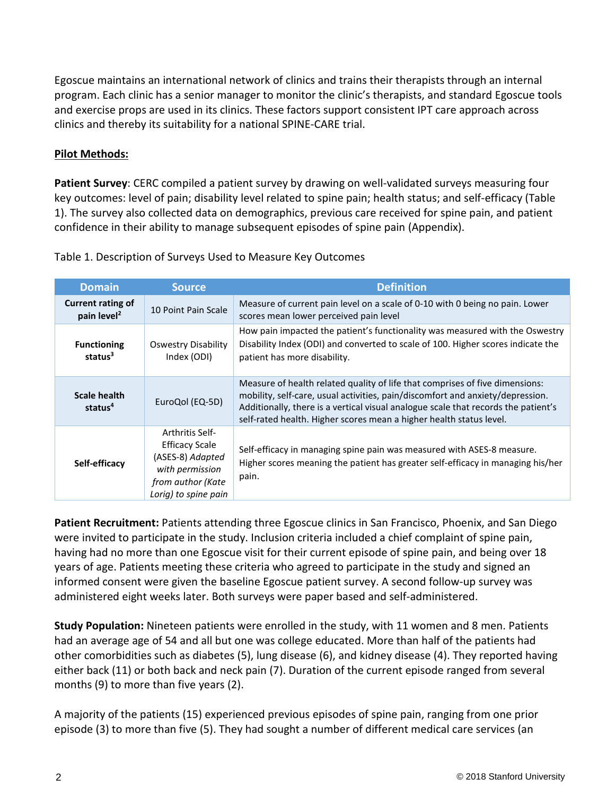Egoscue maintains an international network of clinics and trains their therapists through an internal program. Each clinic has a senior manager to monitor the clinic's therapists, and standard Egoscue tools and exercise props are used in its clinics. These factors support consistent IPT care approach across clinics and thereby its suitability for a national SPINE-CARE trial.

### **Pilot Methods:**

**Patient Survey**: CERC compiled a patient survey by drawing on well-validated surveys measuring four key outcomes: level of pain; disability level related to spine pain; health status; and self-efficacy (Table 1). The survey also collected data on demographics, previous care received for spine pain, and patient confidence in their ability to manage subsequent episodes of spine pain (Appendix).

| <b>Domain</b>                                       | <b>Source</b>                                                                                                                       | <b>Definition</b>                                                                                                                                                                                                                                                                                                           |
|-----------------------------------------------------|-------------------------------------------------------------------------------------------------------------------------------------|-----------------------------------------------------------------------------------------------------------------------------------------------------------------------------------------------------------------------------------------------------------------------------------------------------------------------------|
| <b>Current rating of</b><br>pain level <sup>2</sup> | 10 Point Pain Scale                                                                                                                 | Measure of current pain level on a scale of 0-10 with 0 being no pain. Lower<br>scores mean lower perceived pain level                                                                                                                                                                                                      |
| <b>Functioning</b><br>status $3$                    | Oswestry Disability<br>Index (ODI)                                                                                                  | How pain impacted the patient's functionality was measured with the Oswestry<br>Disability Index (ODI) and converted to scale of 100. Higher scores indicate the<br>patient has more disability.                                                                                                                            |
| <b>Scale health</b><br>status <sup>4</sup>          | EuroQol (EQ-5D)                                                                                                                     | Measure of health related quality of life that comprises of five dimensions:<br>mobility, self-care, usual activities, pain/discomfort and anxiety/depression.<br>Additionally, there is a vertical visual analogue scale that records the patient's<br>self-rated health. Higher scores mean a higher health status level. |
| Self-efficacy                                       | <b>Arthritis Self-</b><br><b>Efficacy Scale</b><br>(ASES-8) Adapted<br>with permission<br>from author (Kate<br>Lorig) to spine pain | Self-efficacy in managing spine pain was measured with ASES-8 measure.<br>Higher scores meaning the patient has greater self-efficacy in managing his/her<br>pain.                                                                                                                                                          |

Table 1. Description of Surveys Used to Measure Key Outcomes

**Patient Recruitment:** Patients attending three Egoscue clinics in San Francisco, Phoenix, and San Diego were invited to participate in the study. Inclusion criteria included a chief complaint of spine pain, having had no more than one Egoscue visit for their current episode of spine pain, and being over 18 years of age. Patients meeting these criteria who agreed to participate in the study and signed an informed consent were given the baseline Egoscue patient survey. A second follow-up survey was administered eight weeks later. Both surveys were paper based and self-administered.

**Study Population:** Nineteen patients were enrolled in the study, with 11 women and 8 men. Patients had an average age of 54 and all but one was college educated. More than half of the patients had other comorbidities such as diabetes (5), lung disease (6), and kidney disease (4). They reported having either back (11) or both back and neck pain (7). Duration of the current episode ranged from several months (9) to more than five years (2).

A majority of the patients (15) experienced previous episodes of spine pain, ranging from one prior episode (3) to more than five (5). They had sought a number of different medical care services (an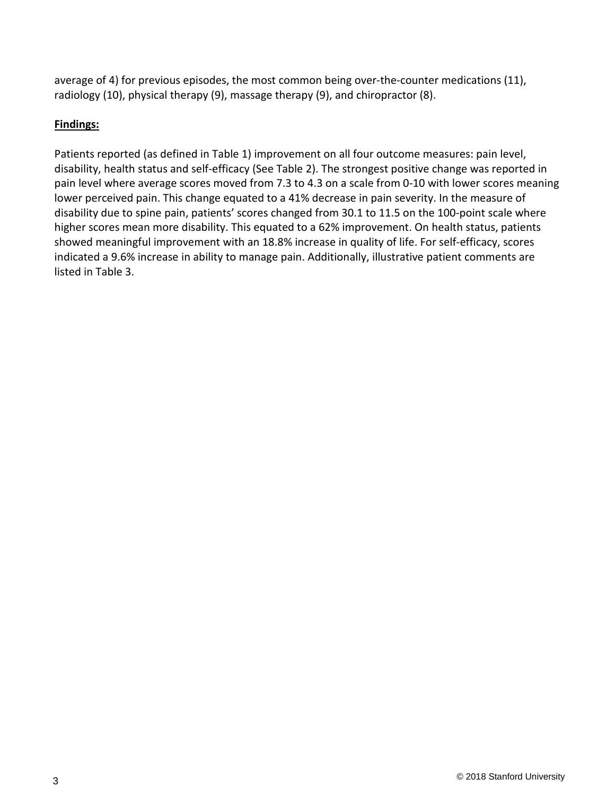average of 4) for previous episodes, the most common being over-the-counter medications (11), radiology (10), physical therapy (9), massage therapy (9), and chiropractor (8).

### **Findings:**

Patients reported (as defined in Table 1) improvement on all four outcome measures: pain level, disability, health status and self-efficacy (See Table 2). The strongest positive change was reported in pain level where average scores moved from 7.3 to 4.3 on a scale from 0-10 with lower scores meaning lower perceived pain. This change equated to a 41% decrease in pain severity. In the measure of disability due to spine pain, patients' scores changed from 30.1 to 11.5 on the 100-point scale where higher scores mean more disability. This equated to a 62% improvement. On health status, patients showed meaningful improvement with an 18.8% increase in quality of life. For self-efficacy, scores indicated a 9.6% increase in ability to manage pain. Additionally, illustrative patient comments are listed in Table 3.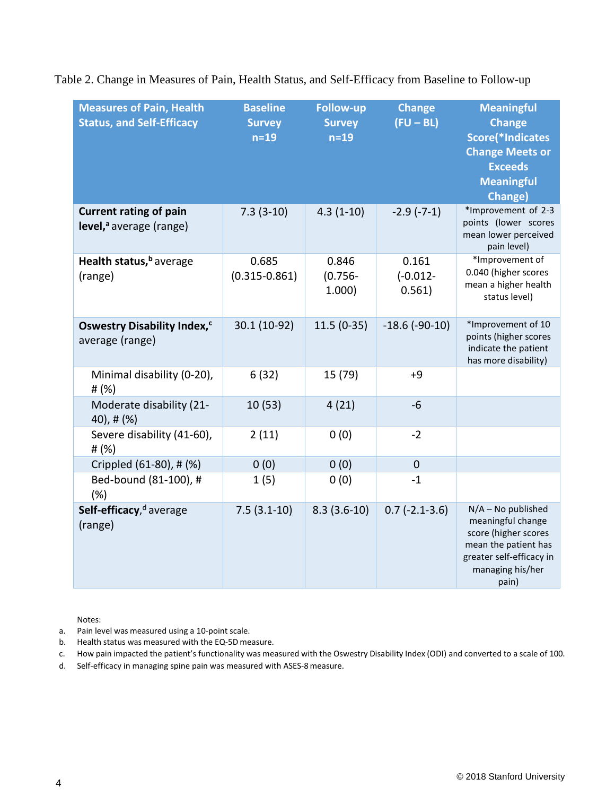| <b>Measures of Pain, Health</b><br><b>Status, and Self-Efficacy</b>  | <b>Baseline</b><br><b>Survey</b><br>$n=19$ | <b>Follow-up</b><br><b>Survey</b><br>$n=19$ | <b>Change</b><br>$(FU - BL)$   | <b>Meaningful</b><br><b>Change</b><br>Score(*Indicates<br><b>Change Meets or</b><br><b>Exceeds</b><br><b>Meaningful</b><br>Change)                 |
|----------------------------------------------------------------------|--------------------------------------------|---------------------------------------------|--------------------------------|----------------------------------------------------------------------------------------------------------------------------------------------------|
| <b>Current rating of pain</b><br>level, <sup>a</sup> average (range) | $7.3(3-10)$                                | $4.3(1-10)$                                 | $-2.9(-7-1)$                   | *Improvement of 2-3<br>points (lower scores<br>mean lower perceived<br>pain level)                                                                 |
| Health status, <sup>b</sup> average<br>(range)                       | 0.685<br>$(0.315 - 0.861)$                 | 0.846<br>$(0.756 -$<br>1.000                | 0.161<br>$(-0.012 -$<br>0.561) | *Improvement of<br>0.040 (higher scores<br>mean a higher health<br>status level)                                                                   |
| Oswestry Disability Index, <sup>c</sup><br>average (range)           | 30.1 (10-92)                               | $11.5(0-35)$                                | $-18.6$ ( $-90-10$ )           | *Improvement of 10<br>points (higher scores<br>indicate the patient<br>has more disability)                                                        |
| Minimal disability (0-20),<br># $(%)$                                | 6(32)                                      | 15 (79)                                     | $+9$                           |                                                                                                                                                    |
| Moderate disability (21-<br>$40$ , # $(%)$                           | 10(53)                                     | 4(21)                                       | $-6$                           |                                                                                                                                                    |
| Severe disability (41-60),<br># (%)                                  | 2(11)                                      | 0(0)                                        | $-2$                           |                                                                                                                                                    |
| Crippled (61-80), # (%)                                              | 0(0)                                       | 0(0)                                        | $\mathbf 0$                    |                                                                                                                                                    |
| Bed-bound (81-100), #<br>(%)                                         | 1(5)                                       | 0(0)                                        | $-1$                           |                                                                                                                                                    |
| Self-efficacy, <sup>d</sup> average<br>(range)                       | $7.5(3.1-10)$                              | $8.3(3.6-10)$                               | $0.7$ (-2.1-3.6)               | $N/A - No$ published<br>meaningful change<br>score (higher scores<br>mean the patient has<br>greater self-efficacy in<br>managing his/her<br>pain) |

Table 2. Change in Measures of Pain, Health Status, and Self-Efficacy from Baseline to Follow-up

Notes:

- a. Pain level was measured using a 10-point scale.
- b. Health status was measured with the EQ-5D measure.
- c. How pain impacted the patient's functionality was measured with the Oswestry Disability Index (ODI) and converted to a scale of 100.
- d. Self-efficacy in managing spine pain was measured with ASES-8measure.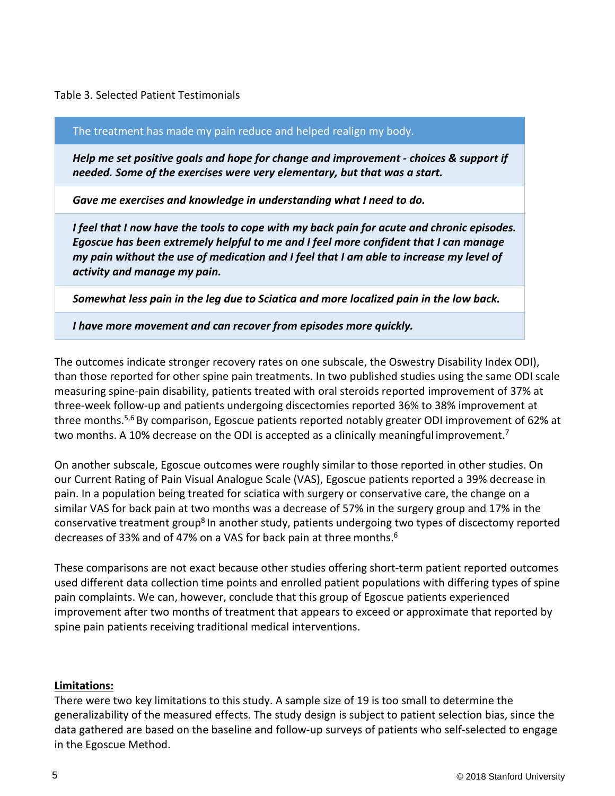Table 3. Selected Patient Testimonials

The treatment has made my pain reduce and helped realign my body.

*Help me set positive goals and hope for change and improvement - choices & support if needed. Some of the exercises were very elementary, but that was a start.*

*Gave me exercises and knowledge in understanding what I need to do.*

*I feel that I now have the tools to cope with my back pain for acute and chronic episodes. Egoscue has been extremely helpful to me and I feel more confident that I can manage my pain without the use of medication and I feel that I am able to increase my level of activity and manage my pain.*

*Somewhat less pain in the leg due to Sciatica and more localized pain in the low back.*

*I have more movement and can recover from episodes more quickly.*

The outcomes indicate stronger recovery rates on one subscale, the Oswestry Disability Index ODI), than those reported for other spine pain treatments. In two published studies using the same ODI scale measuring spine-pain disability, patients treated with oral steroids reported improvement of 37% at three-week follow-up and patients undergoing discectomies reported 36% to 38% improvement at three months.5,6 By comparison, Egoscue patients reported notably greater ODI improvement of 62% at two months. A 10% decrease on the ODI is accepted as a clinically meaningful improvement.<sup>7</sup>

On another subscale, Egoscue outcomes were roughly similar to those reported in other studies. On our Current Rating of Pain Visual Analogue Scale (VAS), Egoscue patients reported a 39% decrease in pain. In a population being treated for sciatica with surgery or conservative care, the change on a similar VAS for back pain at two months was a decrease of 57% in the surgery group and 17% in the conservative treatment group<sup>8</sup> In another study, patients undergoing two types of discectomy reported decreases of 33% and of 47% on a VAS for back pain at three months.<sup>6</sup>

These comparisons are not exact because other studies offering short-term patient reported outcomes used different data collection time points and enrolled patient populations with differing types of spine pain complaints. We can, however, conclude that this group of Egoscue patients experienced improvement after two months of treatment that appears to exceed or approximate that reported by spine pain patients receiving traditional medical interventions.

#### **Limitations:**

There were two key limitations to this study. A sample size of 19 is too small to determine the generalizability of the measured effects. The study design is subject to patient selection bias, since the data gathered are based on the baseline and follow-up surveys of patients who self-selected to engage in the Egoscue Method.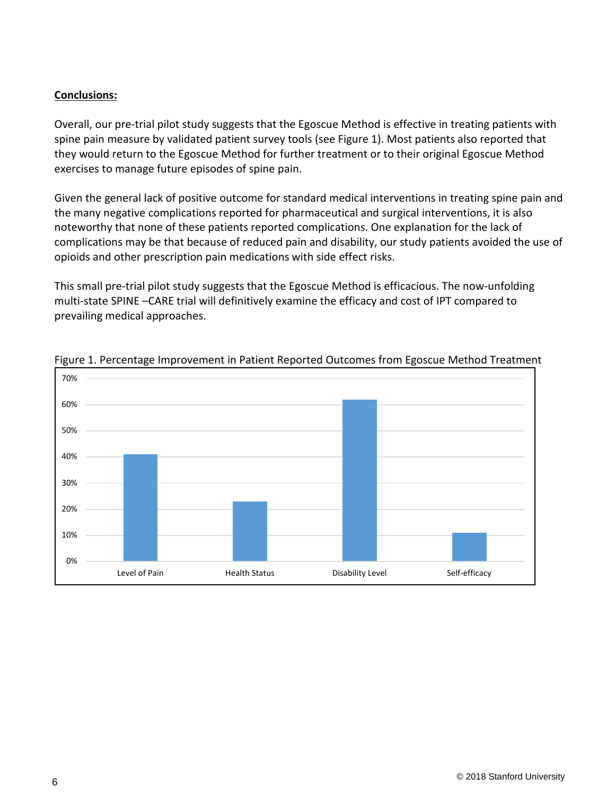### **Conclusions:**

Overall, our pre-trial pilot study suggests that the Egoscue Method is effective in treating patients with spine pain measure by validated patient survey tools (see Figure 1). Most patients also reported that they would return to the Egoscue Method for further treatment or to their original Egoscue Method exercises to manage future episodes of spine pain.

Given the general lack of positive outcome for standard medical interventions in treating spine pain and the many negative complications reported for pharmaceutical and surgical interventions, it is also noteworthy that none of these patients reported complications. One explanation for the lack of complications may be that because of reduced pain and disability, our study patients avoided the use of opioids and other prescription pain medications with side effect risks.

This small pre-trial pilot study suggests that the Egoscue Method is efficacious. The now-unfolding multi-state SPINE –CARE trial will definitively examine the efficacy and cost of IPT compared to prevailing medical approaches.



Figure 1. Percentage Improvement in Patient Reported Outcomes from Egoscue Method Treatment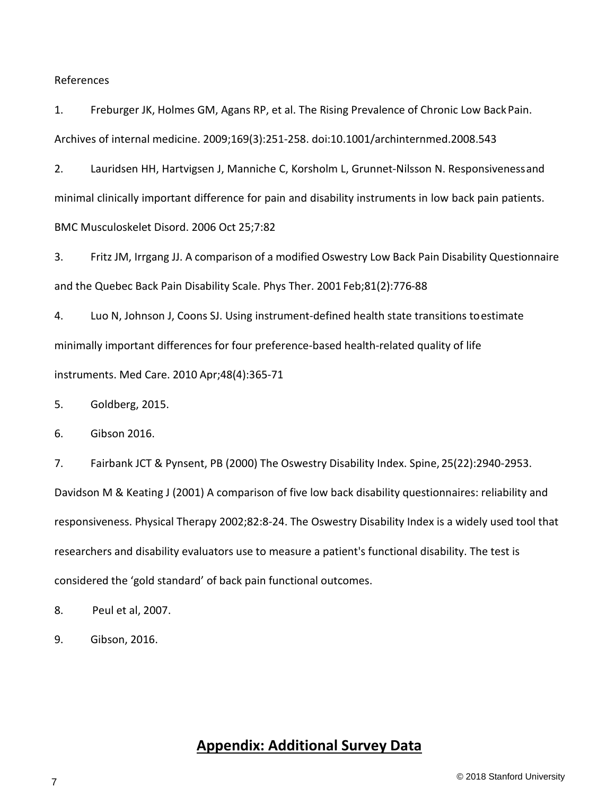#### References

1. Freburger JK, Holmes GM, Agans RP, et al. The Rising Prevalence of Chronic Low BackPain. Archives of internal medicine. 2009;169(3):251-258. doi:10.1001/archinternmed.2008.543

2. Lauridsen HH, Hartvigsen J, Manniche C, Korsholm L, Grunnet-Nilsson N. Responsivenessand minimal clinically important difference for pain and disability instruments in low back pain patients. BMC Musculoskelet Disord. 2006 Oct 25;7:82

3. Fritz JM, Irrgang JJ. A comparison of a modified Oswestry Low Back Pain Disability Questionnaire and the Quebec Back Pain Disability Scale. Phys Ther. 2001 Feb;81(2):776-88

4. Luo N, Johnson J, Coons SJ. Using instrument-defined health state transitions toestimate minimally important differences for four preference-based health-related quality of life instruments. Med Care. 2010 Apr;48(4):365-71

5. Goldberg, 2015.

6. Gibson 2016.

7. Fairbank JCT & Pynsent, PB (2000) The Oswestry Disability Index. Spine, 25(22):2940-2953. Davidson M & Keating J (2001) A comparison of five low back disability questionnaires: reliability and responsiveness. Physical Therapy 2002;82:8-24. The Oswestry Disability Index is a widely used tool that researchers and disability evaluators use to measure a patient's functional disability. The test is considered the 'gold standard' of back pain functional outcomes.

8. Peul et al, 2007.

9. Gibson, 2016.

# **Appendix: Additional Survey Data**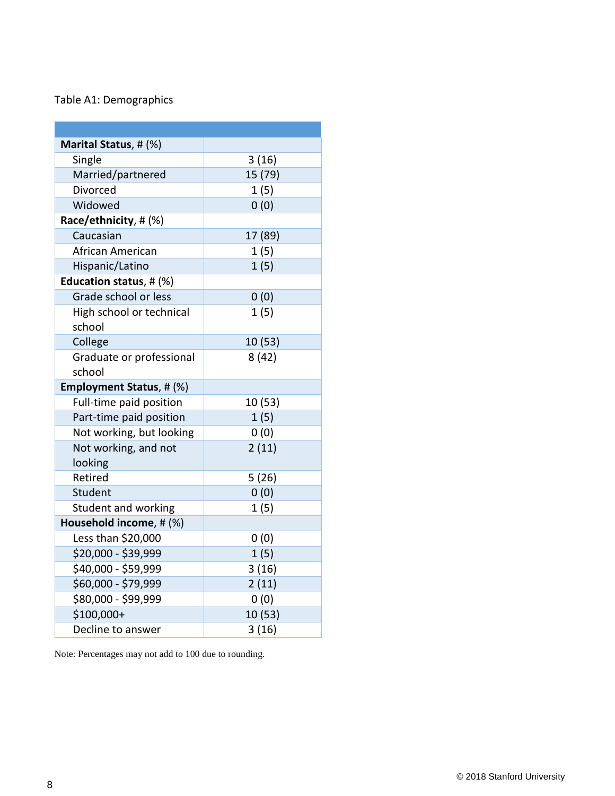### Table A1: Demographics

| Marital Status, # (%)              |         |
|------------------------------------|---------|
| Single                             | 3(16)   |
| Married/partnered                  | 15 (79) |
| <b>Divorced</b>                    | 1(5)    |
| Widowed                            | 0(0)    |
| Race/ethnicity, # (%)              |         |
| Caucasian                          | 17 (89) |
| African American                   | 1(5)    |
| Hispanic/Latino                    | 1(5)    |
| Education status, # (%)            |         |
| Grade school or less               | 0(0)    |
| High school or technical<br>school | 1(5)    |
| College                            | 10 (53) |
| Graduate or professional<br>school | 8(42)   |
| <b>Employment Status, # (%)</b>    |         |
| Full-time paid position            | 10 (53) |
| Part-time paid position            | 1(5)    |
| Not working, but looking           | 0(0)    |
| Not working, and not               | 2(11)   |
| looking                            |         |
| Retired                            | 5(26)   |
| Student                            | 0(0)    |
| Student and working                | 1(5)    |
| Household income, # (%)            |         |
| Less than \$20,000                 | 0(0)    |
| \$20,000 - \$39,999                | 1(5)    |
| \$40,000 - \$59,999                | 3(16)   |
| \$60,000 - \$79,999                | 2(11)   |
| \$80,000 - \$99,999                | 0(0)    |
| \$100,000+                         | 10 (53) |
| Decline to answer                  | 3(16)   |

Note: Percentages may not add to 100 due to rounding.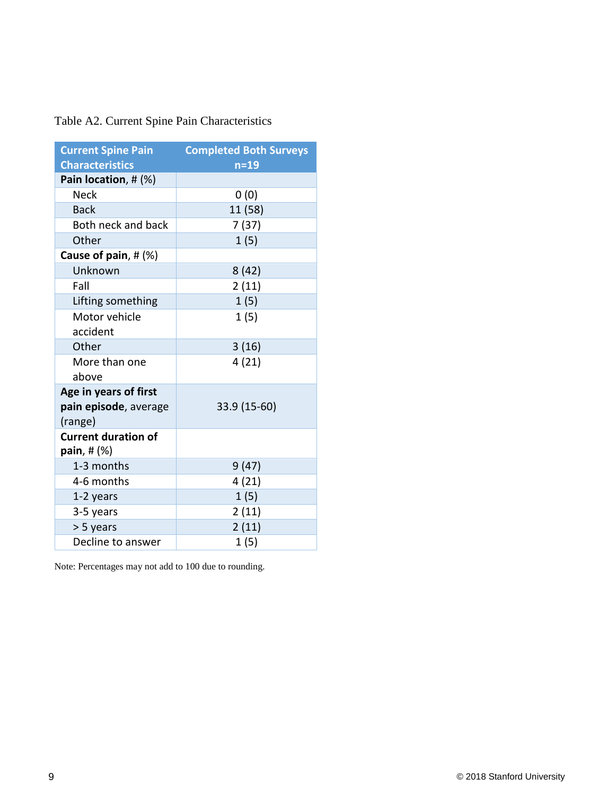| Table A2. Current Spine Pain Characteristics |  |  |  |  |  |
|----------------------------------------------|--|--|--|--|--|
|----------------------------------------------|--|--|--|--|--|

| <b>Current Spine Pain</b><br><b>Characteristics</b>       | <b>Completed Both Surveys</b><br>$n=19$ |  |  |  |  |
|-----------------------------------------------------------|-----------------------------------------|--|--|--|--|
| Pain location, # (%)                                      |                                         |  |  |  |  |
| Neck                                                      | 0(0)                                    |  |  |  |  |
| <b>Back</b>                                               | 11 (58)                                 |  |  |  |  |
| Both neck and back                                        | 7(37)                                   |  |  |  |  |
| Other                                                     | 1(5)                                    |  |  |  |  |
| Cause of pain, $# (%)$                                    |                                         |  |  |  |  |
| Unknown                                                   | 8(42)                                   |  |  |  |  |
| Fall                                                      | 2(11)                                   |  |  |  |  |
| Lifting something                                         | 1(5)                                    |  |  |  |  |
| Motor vehicle<br>accident                                 | 1(5)                                    |  |  |  |  |
| Other                                                     | 3(16)                                   |  |  |  |  |
| More than one<br>above                                    | 4(21)                                   |  |  |  |  |
| Age in years of first<br>pain episode, average<br>(range) | 33.9 (15-60)                            |  |  |  |  |
| <b>Current duration of</b><br>pain, $#$ $%$               |                                         |  |  |  |  |
| 1-3 months                                                | 9(47)                                   |  |  |  |  |
| 4-6 months                                                | 4(21)                                   |  |  |  |  |
| 1-2 years                                                 | 1(5)                                    |  |  |  |  |
| 3-5 years                                                 | 2(11)                                   |  |  |  |  |
| > 5 years                                                 | 2(11)                                   |  |  |  |  |
| Decline to answer                                         | 1(5)                                    |  |  |  |  |

Note: Percentages may not add to 100 due to rounding.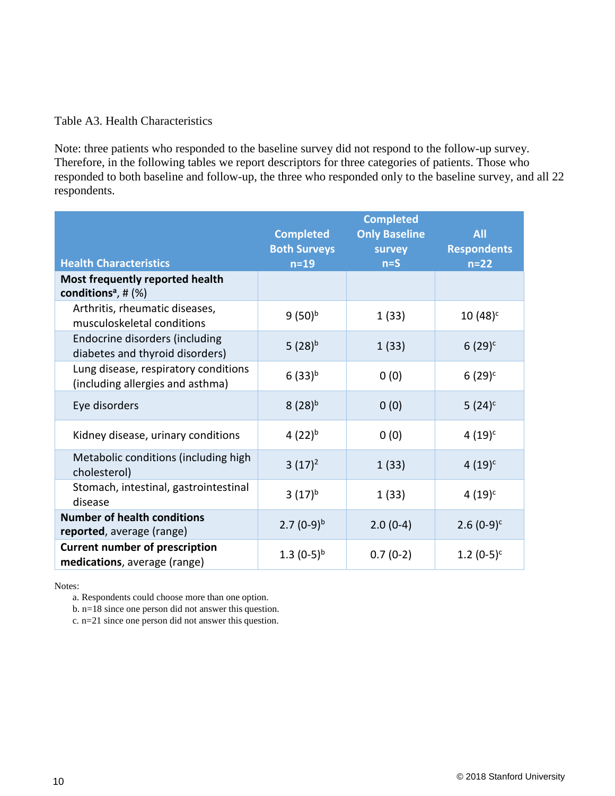#### Table A3. Health Characteristics

Note: three patients who responded to the baseline survey did not respond to the follow-up survey. Therefore, in the following tables we report descriptors for three categories of patients. Those who responded to both baseline and follow-up, the three who responded only to the baseline survey, and all 22 respondents.

| <b>Health Characteristics</b>                                            | <b>Completed</b><br><b>Both Surveys</b><br>$n=19$ | <b>Completed</b><br><b>Only Baseline</b><br>survey<br>$n = S$ | <b>All</b><br><b>Respondents</b><br>$n=22$ |
|--------------------------------------------------------------------------|---------------------------------------------------|---------------------------------------------------------------|--------------------------------------------|
| Most frequently reported health<br>conditions <sup>a</sup> , # $(%)$     |                                                   |                                                               |                                            |
| Arthritis, rheumatic diseases,<br>musculoskeletal conditions             | $9(50)^{b}$                                       | 1(33)                                                         | $10(48)^c$                                 |
| Endocrine disorders (including<br>diabetes and thyroid disorders)        | 5 $(28)^{b}$                                      | 1(33)                                                         | $6(29)^c$                                  |
| Lung disease, respiratory conditions<br>(including allergies and asthma) | $6(33)^{b}$                                       | 0(0)                                                          | $6(29)^c$                                  |
| Eye disorders                                                            | $8(28)^{b}$                                       | 0(0)                                                          | 5 $(24)^c$                                 |
| Kidney disease, urinary conditions                                       | 4 $(22)^{b}$                                      | 0(0)                                                          | $4(19)^c$                                  |
| Metabolic conditions (including high<br>cholesterol)                     | $3(17)^2$                                         | 1(33)                                                         | $4(19)^c$                                  |
| Stomach, intestinal, gastrointestinal<br>disease                         | $3(17)^{b}$                                       | 1(33)                                                         | $4(19)^c$                                  |
| <b>Number of health conditions</b><br>reported, average (range)          | 2.7 $(0-9)^{b}$                                   | $2.0(0-4)$                                                    | $2.6(0-9)^{c}$                             |
| <b>Current number of prescription</b><br>medications, average (range)    | 1.3 $(0-5)^{b}$                                   | $0.7(0-2)$                                                    | 1.2 $(0-5)^{c}$                            |

Notes:

a. Respondents could choose more than one option.

b. n=18 since one person did not answer this question.

c. n=21 since one person did not answer this question.